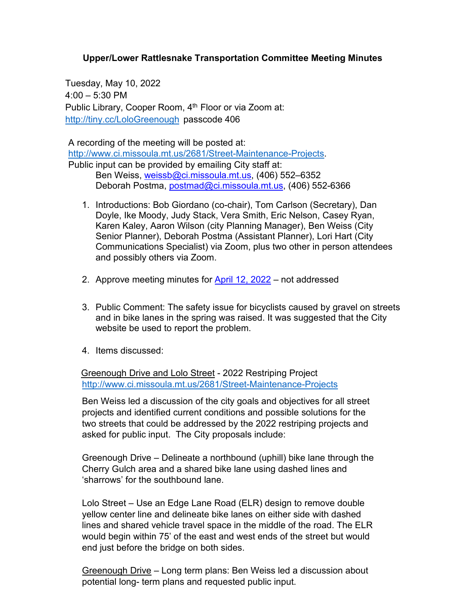## **Upper/Lower Rattlesnake Transportation Committee Meeting Minutes**

Tuesday, May 10, 2022 4:00 – 5:30 PM Public Library, Cooper Room, 4<sup>th</sup> Floor or via Zoom at: <http://tiny.cc/LoloGreenough> passcode 406

A recording of the meeting will be posted at: [http://www.ci.missoula.mt.us/2681/Street-Maintenance-Projects.](http://www.ci.missoula.mt.us/2681/Street-Maintenance-Projects) Public input can be provided by emailing City staff at: Ben Weiss, [weissb@ci.missoula.mt.us,](mailto:weissb@ci.missoula.mt.us) (406) 552-6352

Deborah Postma, [postmad@ci.missoula.mt.us,](mailto:postmad@ci.missoula.mt.us) (406) 552-6366

- 1. Introductions: Bob Giordano (co-chair), Tom Carlson (Secretary), Dan Doyle, Ike Moody, Judy Stack, Vera Smith, Eric Nelson, Casey Ryan, Karen Kaley, Aaron Wilson (city Planning Manager), Ben Weiss (City Senior Planner), Deborah Postma (Assistant Planner), Lori Hart (City Communications Specialist) via Zoom, plus two other in person attendees and possibly others via Zoom.
- 2. Approve meeting minutes for [April 12, 2022](https://www.ci.missoula.mt.us/Archive.aspx?ADID=16702) not addressed
- 3. Public Comment: The safety issue for bicyclists caused by gravel on streets and in bike lanes in the spring was raised. It was suggested that the City website be used to report the problem.
- 4. Items discussed:

 Greenough Drive and Lolo Street - 2022 Restriping Project <http://www.ci.missoula.mt.us/2681/Street-Maintenance-Projects>

Ben Weiss led a discussion of the city goals and objectives for all street projects and identified current conditions and possible solutions for the two streets that could be addressed by the 2022 restriping projects and asked for public input. The City proposals include:

Greenough Drive – Delineate a northbound (uphill) bike lane through the Cherry Gulch area and a shared bike lane using dashed lines and 'sharrows' for the southbound lane.

Lolo Street – Use an Edge Lane Road (ELR) design to remove double yellow center line and delineate bike lanes on either side with dashed lines and shared vehicle travel space in the middle of the road. The ELR would begin within 75' of the east and west ends of the street but would end just before the bridge on both sides.

Greenough Drive – Long term plans: Ben Weiss led a discussion about potential long- term plans and requested public input.